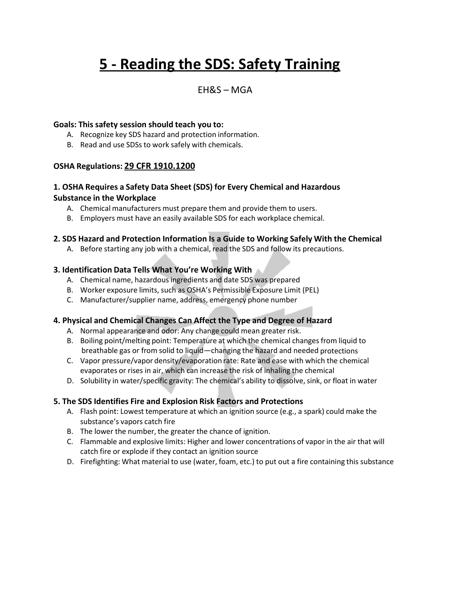# **5 - Reading the SDS: Safety Training**

### EH&S – MGA

#### **Goals: This safety session should teach you to:**

- A. Recognize key SDS hazard and protection information.
- B. Read and use SDSs to work safely with chemicals.

#### **OSHA Regulations: 29 CFR 1910.1200**

#### **1. OSHA Requires a Safety Data Sheet (SDS) for Every Chemical and Hazardous Substance in the Workplace**

- A. Chemical manufacturers must prepare them and provide them to users.
- B. Employers must have an easily available SDS for each workplace chemical.

#### **2. SDS Hazard and Protection Information Is a Guide to Working Safely With the Chemical**

A. Before starting any job with a chemical, read the SDS and follow its precautions.

#### **3. Identification Data Tells What You're Working With**

- A. Chemical name, hazardousingredients and date SDS was prepared
- B. Worker exposure limits, such as OSHA's Permissible Exposure Limit (PEL)
- C. Manufacturer/supplier name, address, emergency phone number

#### **4. Physical and Chemical Changes Can Affect the Type and Degree of Hazard**

- A. Normal appearance and odor: Any change could mean greater risk.
- B. Boiling point/melting point: Temperature at which the chemical changes from liquid to breathable gas or from solid to liquid—changing the hazard and needed protections
- C. Vapor pressure/vapor density/evaporation rate: Rate and ease with which the chemical evaporates or rises in air, which can increase the risk of inhaling the chemical
- D. Solubility in water/specific gravity: The chemical's ability to dissolve, sink, or float in water

#### **5. The SDS Identifies Fire and Explosion Risk Factors and Protections**

- A. Flash point: Lowest temperature at which an ignition source (e.g., a spark) could make the substance's vapors catch fire
- B. The lower the number, the greater the chance of ignition.
- C. Flammable and explosive limits: Higher and lower concentrations of vapor in the air that will catch fire or explode if they contact an ignition source
- D. Firefighting: What material to use (water, foam, etc.) to put out a fire containing this substance